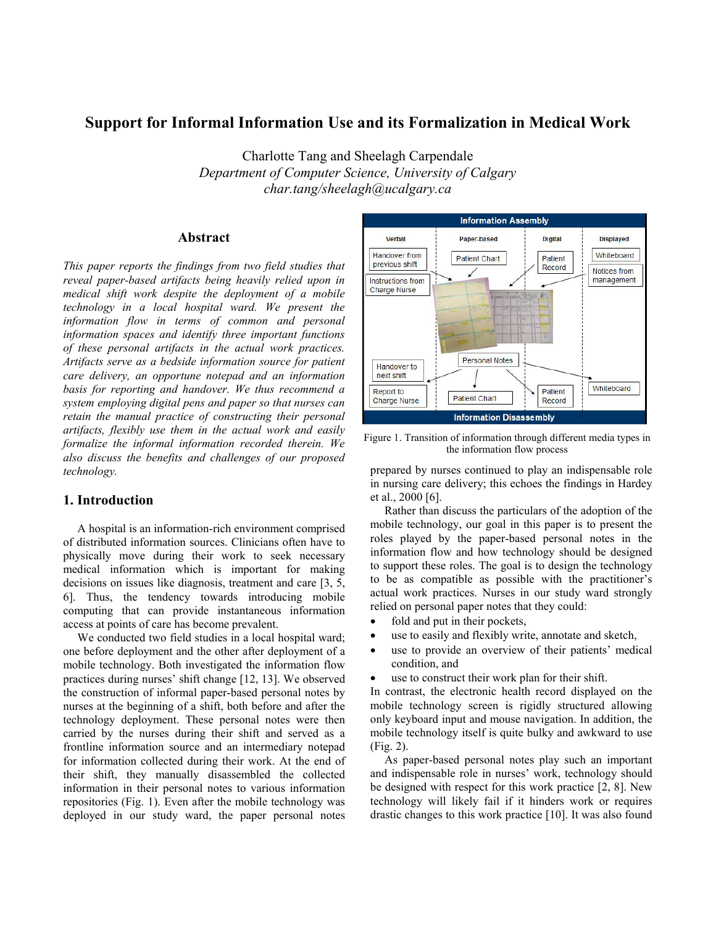# **Support for Informal Information Use and its Formalization in Medical Work**

Charlotte Tang and Sheelagh Carpendale *Department of Computer Science, University of Calgary char.tang/sheelagh@ucalgary.ca* 

## **Abstract**

*This paper reports the findings from two field studies that reveal paper-based artifacts being heavily relied upon in medical shift work despite the deployment of a mobile technology in a local hospital ward. We present the information flow in terms of common and personal information spaces and identify three important functions of these personal artifacts in the actual work practices. Artifacts serve as a bedside information source for patient care delivery, an opportune notepad and an information basis for reporting and handover. We thus recommend a system employing digital pens and paper so that nurses can retain the manual practice of constructing their personal artifacts, flexibly use them in the actual work and easily formalize the informal information recorded therein. We also discuss the benefits and challenges of our proposed technology.* 

# **1. Introduction**

A hospital is an information-rich environment comprised of distributed information sources. Clinicians often have to physically move during their work to seek necessary medical information which is important for making decisions on issues like diagnosis, treatment and care [3, 5, 6]. Thus, the tendency towards introducing mobile computing that can provide instantaneous information access at points of care has become prevalent.

We conducted two field studies in a local hospital ward; one before deployment and the other after deployment of a mobile technology. Both investigated the information flow practices during nurses' shift change [12, 13]. We observed the construction of informal paper-based personal notes by nurses at the beginning of a shift, both before and after the technology deployment. These personal notes were then carried by the nurses during their shift and served as a frontline information source and an intermediary notepad for information collected during their work. At the end of their shift, they manually disassembled the collected information in their personal notes to various information repositories (Fig. 1). Even after the mobile technology was deployed in our study ward, the paper personal notes



Figure 1. Transition of information through different media types in the information flow process

prepared by nurses continued to play an indispensable role in nursing care delivery; this echoes the findings in Hardey et al., 2000 [6].

Rather than discuss the particulars of the adoption of the mobile technology, our goal in this paper is to present the roles played by the paper-based personal notes in the information flow and how technology should be designed to support these roles. The goal is to design the technology to be as compatible as possible with the practitioner's actual work practices. Nurses in our study ward strongly relied on personal paper notes that they could:

- fold and put in their pockets,
- use to easily and flexibly write, annotate and sketch,
- use to provide an overview of their patients' medical condition, and
- use to construct their work plan for their shift.

In contrast, the electronic health record displayed on the mobile technology screen is rigidly structured allowing only keyboard input and mouse navigation. In addition, the mobile technology itself is quite bulky and awkward to use (Fig. 2).

As paper-based personal notes play such an important and indispensable role in nurses' work, technology should be designed with respect for this work practice [2, 8]. New technology will likely fail if it hinders work or requires drastic changes to this work practice [10]. It was also found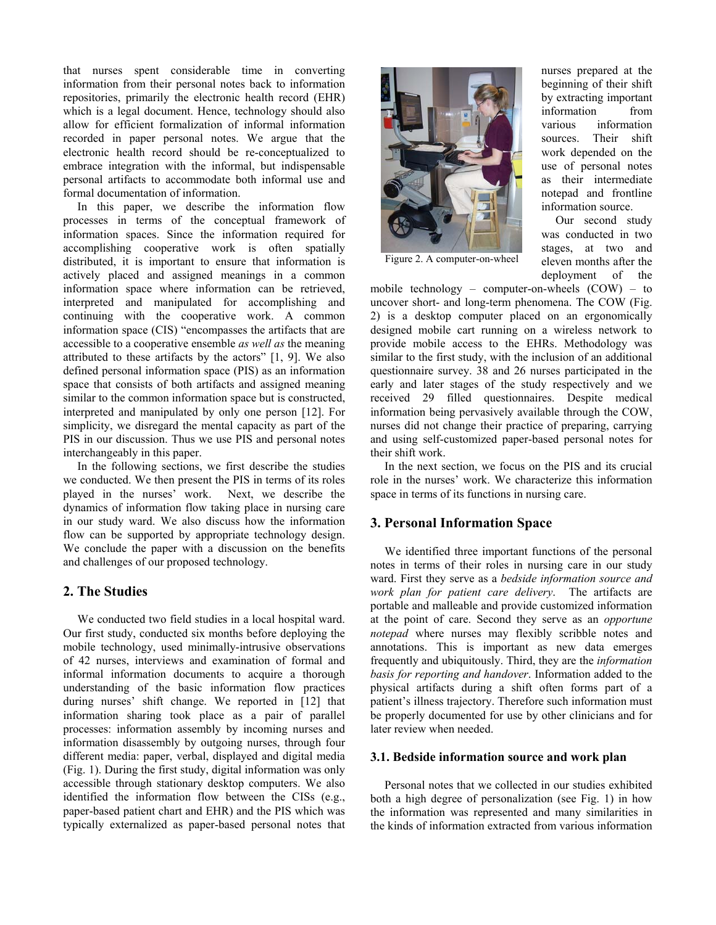that nurses spent considerable time in converting information from their personal notes back to information repositories, primarily the electronic health record (EHR) which is a legal document. Hence, technology should also allow for efficient formalization of informal information recorded in paper personal notes. We argue that the electronic health record should be re-conceptualized to embrace integration with the informal, but indispensable personal artifacts to accommodate both informal use and formal documentation of information.

In this paper, we describe the information flow processes in terms of the conceptual framework of information spaces. Since the information required for accomplishing cooperative work is often spatially distributed, it is important to ensure that information is actively placed and assigned meanings in a common information space where information can be retrieved, interpreted and manipulated for accomplishing and continuing with the cooperative work. A common information space (CIS) "encompasses the artifacts that are accessible to a cooperative ensemble *as well as* the meaning attributed to these artifacts by the actors" [1, 9]. We also defined personal information space (PIS) as an information space that consists of both artifacts and assigned meaning similar to the common information space but is constructed, interpreted and manipulated by only one person [12]. For simplicity, we disregard the mental capacity as part of the PIS in our discussion. Thus we use PIS and personal notes interchangeably in this paper.

In the following sections, we first describe the studies we conducted. We then present the PIS in terms of its roles played in the nurses' work. Next, we describe the dynamics of information flow taking place in nursing care in our study ward. We also discuss how the information flow can be supported by appropriate technology design. We conclude the paper with a discussion on the benefits and challenges of our proposed technology.

# **2. The Studies**

We conducted two field studies in a local hospital ward. Our first study, conducted six months before deploying the mobile technology, used minimally-intrusive observations of 42 nurses, interviews and examination of formal and informal information documents to acquire a thorough understanding of the basic information flow practices during nurses' shift change. We reported in [12] that information sharing took place as a pair of parallel processes: information assembly by incoming nurses and information disassembly by outgoing nurses, through four different media: paper, verbal, displayed and digital media (Fig. 1). During the first study, digital information was only accessible through stationary desktop computers. We also identified the information flow between the CISs (e.g., paper-based patient chart and EHR) and the PIS which was typically externalized as paper-based personal notes that



Figure 2. A computer-on-wheel

nurses prepared at the beginning of their shift by extracting important information from various information sources. Their shift work depended on the use of personal notes as their intermediate notepad and frontline information source.

Our second study was conducted in two stages, at two and eleven months after the deployment of the

mobile technology – computer-on-wheels (COW) – to uncover short- and long-term phenomena. The COW (Fig. 2) is a desktop computer placed on an ergonomically designed mobile cart running on a wireless network to provide mobile access to the EHRs. Methodology was similar to the first study, with the inclusion of an additional questionnaire survey. 38 and 26 nurses participated in the early and later stages of the study respectively and we received 29 filled questionnaires. Despite medical information being pervasively available through the COW, nurses did not change their practice of preparing, carrying and using self-customized paper-based personal notes for their shift work.

In the next section, we focus on the PIS and its crucial role in the nurses' work. We characterize this information space in terms of its functions in nursing care.

# **3. Personal Information Space**

We identified three important functions of the personal notes in terms of their roles in nursing care in our study ward. First they serve as a *bedside information source and work plan for patient care delivery*. The artifacts are portable and malleable and provide customized information at the point of care. Second they serve as an *opportune notepad* where nurses may flexibly scribble notes and annotations. This is important as new data emerges frequently and ubiquitously. Third, they are the *information basis for reporting and handover*. Information added to the physical artifacts during a shift often forms part of a patient's illness trajectory. Therefore such information must be properly documented for use by other clinicians and for later review when needed.

#### **3.1. Bedside information source and work plan**

Personal notes that we collected in our studies exhibited both a high degree of personalization (see Fig. 1) in how the information was represented and many similarities in the kinds of information extracted from various information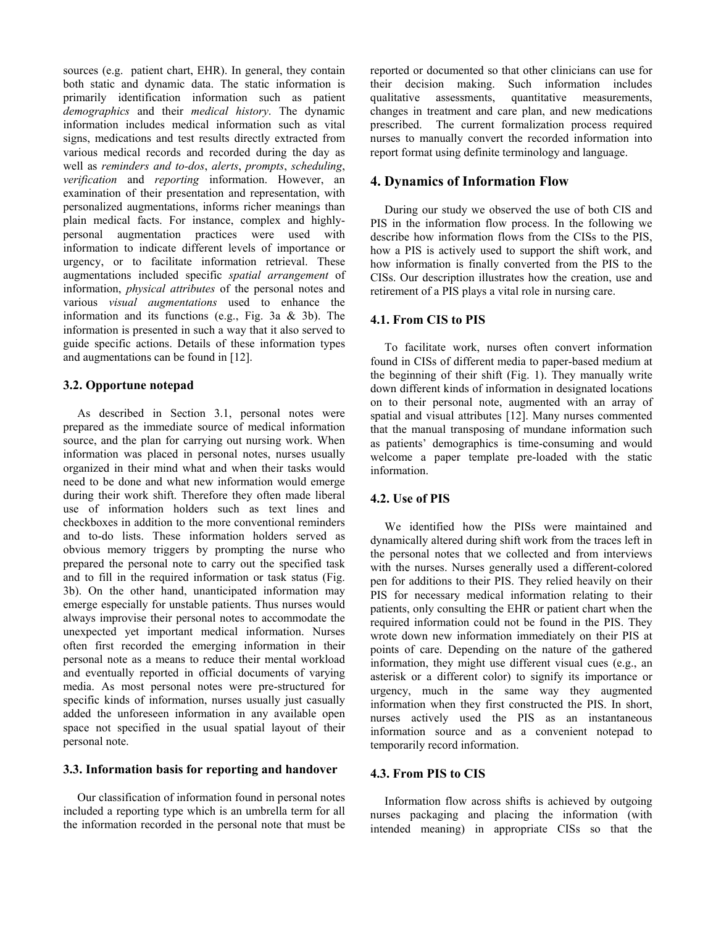sources (e.g. patient chart, EHR). In general, they contain both static and dynamic data. The static information is primarily identification information such as patient *demographics* and their *medical history*. The dynamic information includes medical information such as vital signs, medications and test results directly extracted from various medical records and recorded during the day as well as *reminders and to-dos*, *alerts*, *prompts*, *scheduling*, *verification* and *reporting* information. However, an examination of their presentation and representation, with personalized augmentations, informs richer meanings than plain medical facts. For instance, complex and highlypersonal augmentation practices were used with information to indicate different levels of importance or urgency, or to facilitate information retrieval. These augmentations included specific *spatial arrangement* of information, *physical attributes* of the personal notes and various *visual augmentations* used to enhance the information and its functions (e.g., Fig. 3a & 3b). The information is presented in such a way that it also served to guide specific actions. Details of these information types and augmentations can be found in [12].

### **3.2. Opportune notepad**

As described in Section 3.1, personal notes were prepared as the immediate source of medical information source, and the plan for carrying out nursing work. When information was placed in personal notes, nurses usually organized in their mind what and when their tasks would need to be done and what new information would emerge during their work shift. Therefore they often made liberal use of information holders such as text lines and checkboxes in addition to the more conventional reminders and to-do lists. These information holders served as obvious memory triggers by prompting the nurse who prepared the personal note to carry out the specified task and to fill in the required information or task status (Fig. 3b). On the other hand, unanticipated information may emerge especially for unstable patients. Thus nurses would always improvise their personal notes to accommodate the unexpected yet important medical information. Nurses often first recorded the emerging information in their personal note as a means to reduce their mental workload and eventually reported in official documents of varying media. As most personal notes were pre-structured for specific kinds of information, nurses usually just casually added the unforeseen information in any available open space not specified in the usual spatial layout of their personal note.

#### **3.3. Information basis for reporting and handover**

Our classification of information found in personal notes included a reporting type which is an umbrella term for all the information recorded in the personal note that must be reported or documented so that other clinicians can use for their decision making. Such information includes qualitative assessments, quantitative measurements, changes in treatment and care plan, and new medications prescribed. The current formalization process required nurses to manually convert the recorded information into report format using definite terminology and language.

#### **4. Dynamics of Information Flow**

During our study we observed the use of both CIS and PIS in the information flow process. In the following we describe how information flows from the CISs to the PIS, how a PIS is actively used to support the shift work, and how information is finally converted from the PIS to the CISs. Our description illustrates how the creation, use and retirement of a PIS plays a vital role in nursing care.

#### **4.1. From CIS to PIS**

To facilitate work, nurses often convert information found in CISs of different media to paper-based medium at the beginning of their shift (Fig. 1). They manually write down different kinds of information in designated locations on to their personal note, augmented with an array of spatial and visual attributes [12]. Many nurses commented that the manual transposing of mundane information such as patients' demographics is time-consuming and would welcome a paper template pre-loaded with the static information.

#### **4.2. Use of PIS**

We identified how the PISs were maintained and dynamically altered during shift work from the traces left in the personal notes that we collected and from interviews with the nurses. Nurses generally used a different-colored pen for additions to their PIS. They relied heavily on their PIS for necessary medical information relating to their patients, only consulting the EHR or patient chart when the required information could not be found in the PIS. They wrote down new information immediately on their PIS at points of care. Depending on the nature of the gathered information, they might use different visual cues (e.g., an asterisk or a different color) to signify its importance or urgency, much in the same way they augmented information when they first constructed the PIS. In short, nurses actively used the PIS as an instantaneous information source and as a convenient notepad to temporarily record information.

#### **4.3. From PIS to CIS**

Information flow across shifts is achieved by outgoing nurses packaging and placing the information (with intended meaning) in appropriate CISs so that the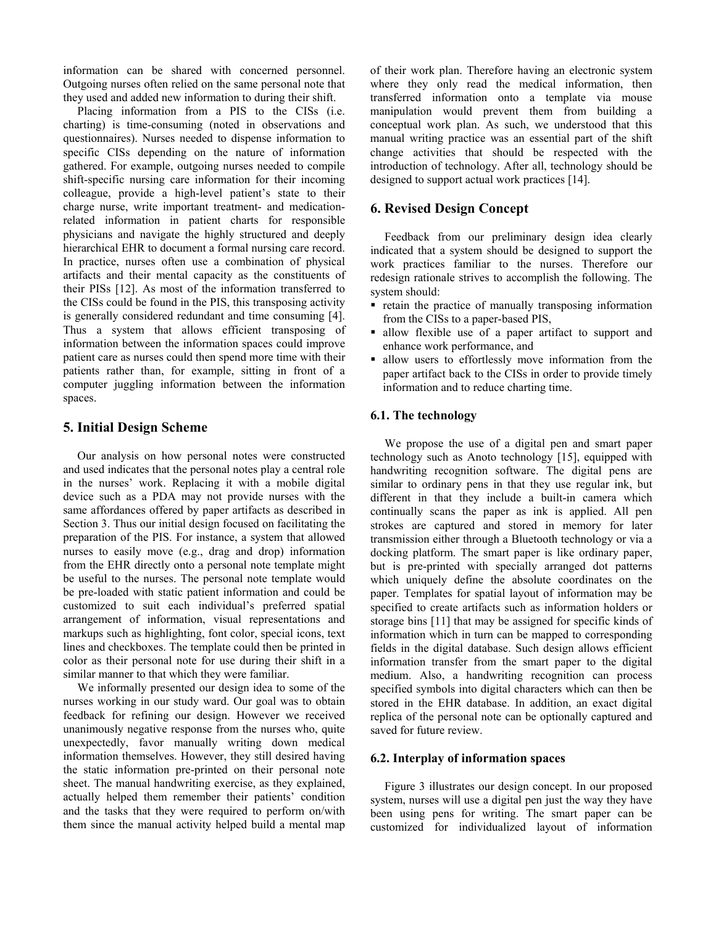information can be shared with concerned personnel. Outgoing nurses often relied on the same personal note that they used and added new information to during their shift.

Placing information from a PIS to the CISs (i.e. charting) is time-consuming (noted in observations and questionnaires). Nurses needed to dispense information to specific CISs depending on the nature of information gathered. For example, outgoing nurses needed to compile shift-specific nursing care information for their incoming colleague, provide a high-level patient's state to their charge nurse, write important treatment- and medicationrelated information in patient charts for responsible physicians and navigate the highly structured and deeply hierarchical EHR to document a formal nursing care record. In practice, nurses often use a combination of physical artifacts and their mental capacity as the constituents of their PISs [12]. As most of the information transferred to the CISs could be found in the PIS, this transposing activity is generally considered redundant and time consuming [4]. Thus a system that allows efficient transposing of information between the information spaces could improve patient care as nurses could then spend more time with their patients rather than, for example, sitting in front of a computer juggling information between the information spaces.

# **5. Initial Design Scheme**

Our analysis on how personal notes were constructed and used indicates that the personal notes play a central role in the nurses' work. Replacing it with a mobile digital device such as a PDA may not provide nurses with the same affordances offered by paper artifacts as described in Section 3. Thus our initial design focused on facilitating the preparation of the PIS. For instance, a system that allowed nurses to easily move (e.g., drag and drop) information from the EHR directly onto a personal note template might be useful to the nurses. The personal note template would be pre-loaded with static patient information and could be customized to suit each individual's preferred spatial arrangement of information, visual representations and markups such as highlighting, font color, special icons, text lines and checkboxes. The template could then be printed in color as their personal note for use during their shift in a similar manner to that which they were familiar.

We informally presented our design idea to some of the nurses working in our study ward. Our goal was to obtain feedback for refining our design. However we received unanimously negative response from the nurses who, quite unexpectedly, favor manually writing down medical information themselves. However, they still desired having the static information pre-printed on their personal note sheet. The manual handwriting exercise, as they explained, actually helped them remember their patients' condition and the tasks that they were required to perform on/with them since the manual activity helped build a mental map

of their work plan. Therefore having an electronic system where they only read the medical information, then transferred information onto a template via mouse manipulation would prevent them from building a conceptual work plan. As such, we understood that this manual writing practice was an essential part of the shift change activities that should be respected with the introduction of technology. After all, technology should be designed to support actual work practices [14].

# **6. Revised Design Concept**

Feedback from our preliminary design idea clearly indicated that a system should be designed to support the work practices familiar to the nurses. Therefore our redesign rationale strives to accomplish the following. The system should:

- $\blacksquare$  retain the practice of manually transposing information from the CISs to a paper-based PIS,
- allow flexible use of a paper artifact to support and enhance work performance, and
- allow users to effortlessly move information from the paper artifact back to the CISs in order to provide timely information and to reduce charting time.

#### **6.1. The technology**

We propose the use of a digital pen and smart paper technology such as Anoto technology [15], equipped with handwriting recognition software. The digital pens are similar to ordinary pens in that they use regular ink, but different in that they include a built-in camera which continually scans the paper as ink is applied. All pen strokes are captured and stored in memory for later transmission either through a Bluetooth technology or via a docking platform. The smart paper is like ordinary paper, but is pre-printed with specially arranged dot patterns which uniquely define the absolute coordinates on the paper. Templates for spatial layout of information may be specified to create artifacts such as information holders or storage bins [11] that may be assigned for specific kinds of information which in turn can be mapped to corresponding fields in the digital database. Such design allows efficient information transfer from the smart paper to the digital medium. Also, a handwriting recognition can process specified symbols into digital characters which can then be stored in the EHR database. In addition, an exact digital replica of the personal note can be optionally captured and saved for future review.

#### **6.2. Interplay of information spaces**

Figure 3 illustrates our design concept. In our proposed system, nurses will use a digital pen just the way they have been using pens for writing. The smart paper can be customized for individualized layout of information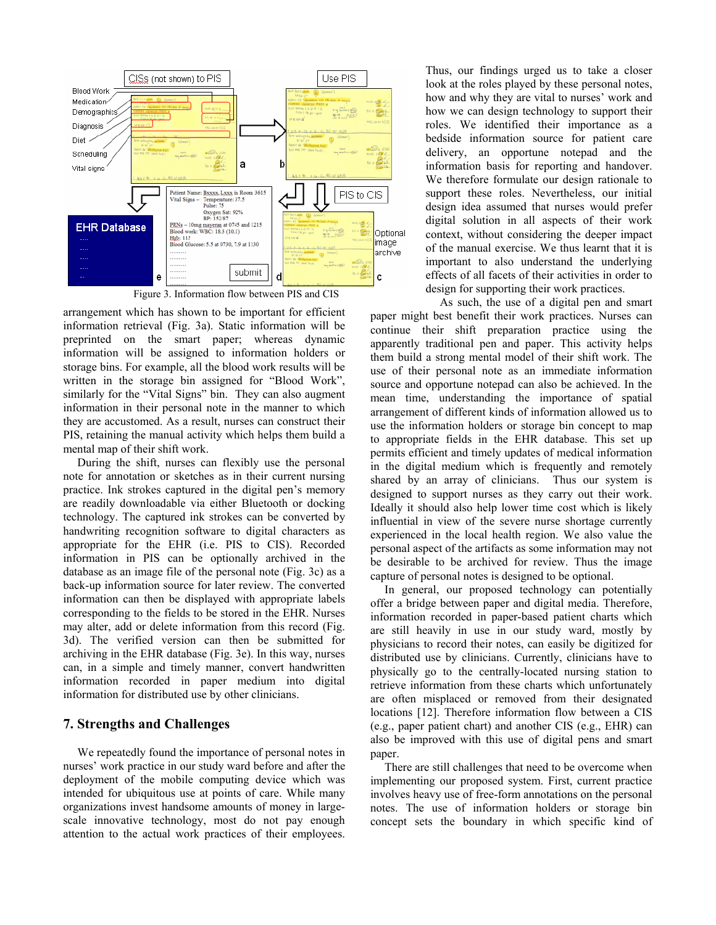

Figure 3. Information flow between PIS and CIS

arrangement which has shown to be important for efficient information retrieval (Fig. 3a). Static information will be preprinted on the smart paper; whereas dynamic information will be assigned to information holders or storage bins. For example, all the blood work results will be written in the storage bin assigned for "Blood Work", similarly for the "Vital Signs" bin. They can also augment information in their personal note in the manner to which they are accustomed. As a result, nurses can construct their PIS, retaining the manual activity which helps them build a mental map of their shift work.

During the shift, nurses can flexibly use the personal note for annotation or sketches as in their current nursing practice. Ink strokes captured in the digital pen's memory are readily downloadable via either Bluetooth or docking technology. The captured ink strokes can be converted by handwriting recognition software to digital characters as appropriate for the EHR (i.e. PIS to CIS). Recorded information in PIS can be optionally archived in the database as an image file of the personal note (Fig. 3c) as a back-up information source for later review. The converted information can then be displayed with appropriate labels corresponding to the fields to be stored in the EHR. Nurses may alter, add or delete information from this record (Fig. 3d). The verified version can then be submitted for archiving in the EHR database (Fig. 3e). In this way, nurses can, in a simple and timely manner, convert handwritten information recorded in paper medium into digital information for distributed use by other clinicians.

# **7. Strengths and Challenges**

We repeatedly found the importance of personal notes in nurses' work practice in our study ward before and after the deployment of the mobile computing device which was intended for ubiquitous use at points of care. While many organizations invest handsome amounts of money in largescale innovative technology, most do not pay enough attention to the actual work practices of their employees.

Thus, our findings urged us to take a closer look at the roles played by these personal notes, how and why they are vital to nurses' work and how we can design technology to support their roles. We identified their importance as a bedside information source for patient care delivery, an opportune notepad and the information basis for reporting and handover. We therefore formulate our design rationale to support these roles. Nevertheless, our initial design idea assumed that nurses would prefer digital solution in all aspects of their work context, without considering the deeper impact of the manual exercise. We thus learnt that it is important to also understand the underlying effects of all facets of their activities in order to design for supporting their work practices.

As such, the use of a digital pen and smart paper might best benefit their work practices. Nurses can continue their shift preparation practice using the apparently traditional pen and paper. This activity helps them build a strong mental model of their shift work. The use of their personal note as an immediate information source and opportune notepad can also be achieved. In the mean time, understanding the importance of spatial arrangement of different kinds of information allowed us to use the information holders or storage bin concept to map to appropriate fields in the EHR database. This set up permits efficient and timely updates of medical information in the digital medium which is frequently and remotely shared by an array of clinicians. Thus our system is designed to support nurses as they carry out their work. Ideally it should also help lower time cost which is likely influential in view of the severe nurse shortage currently experienced in the local health region. We also value the personal aspect of the artifacts as some information may not be desirable to be archived for review. Thus the image capture of personal notes is designed to be optional.

In general, our proposed technology can potentially offer a bridge between paper and digital media. Therefore, information recorded in paper-based patient charts which are still heavily in use in our study ward, mostly by physicians to record their notes, can easily be digitized for distributed use by clinicians. Currently, clinicians have to physically go to the centrally-located nursing station to retrieve information from these charts which unfortunately are often misplaced or removed from their designated locations [12]. Therefore information flow between a CIS (e.g., paper patient chart) and another CIS (e.g., EHR) can also be improved with this use of digital pens and smart paper.

There are still challenges that need to be overcome when implementing our proposed system. First, current practice involves heavy use of free-form annotations on the personal notes. The use of information holders or storage bin concept sets the boundary in which specific kind of